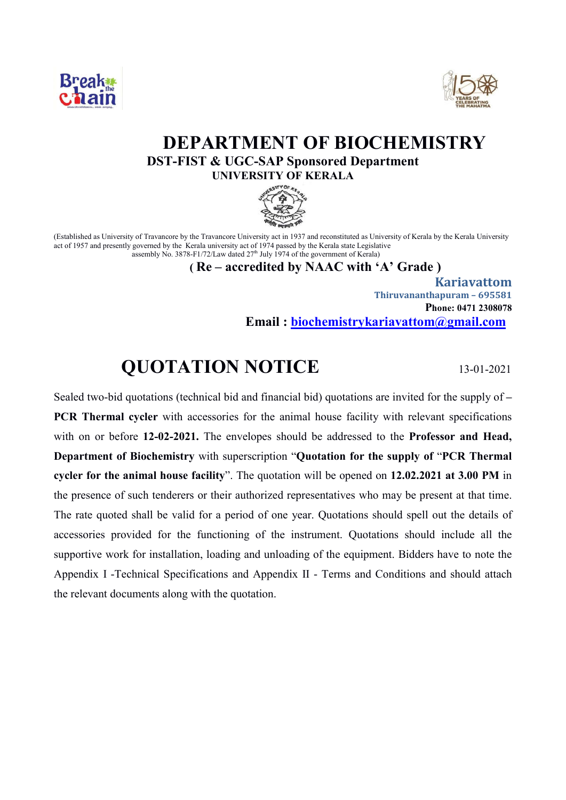



# **DEPARTMENT OF BIOCHEMISTRY DST-FIST & UGC-SAP Sponsored Department UNIVERSITY OF KERALA**



(Established as University of Travancore by the Travancore University act in 1937 and reconstituted as University of Kerala by the Kerala University act of 1957 and presently governed by the Kerala university act of 1974 passed by the Kerala state Legislative assembly No. 3878-F1/72/Law dated  $27<sup>th</sup>$  July 1974 of the government of Kerala)

 **( Re – accredited by NAAC with 'A' Grade )**

 **Kariavattom Thiruvananthapuram – 695581 Phone: 0471 2308078 Email : biochemistrykariavattom@gmail.com**

## **QUOTATION NOTICE** 13-01-2021

Sealed two-bid quotations (technical bid and financial bid) quotations are invited for the supply of **– PCR Thermal cycler** with accessories for the animal house facility with relevant specifications with on or before **12-02-2021.** The envelopes should be addressed to the **Professor and Head, Department of Biochemistry** with superscription "**Quotation for the supply of** "**PCR Thermal cycler for the animal house facility**". The quotation will be opened on **12.02.2021 at 3.00 PM** in the presence of such tenderers or their authorized representatives who may be present at that time. The rate quoted shall be valid for a period of one year. Quotations should spell out the details of accessories provided for the functioning of the instrument. Quotations should include all the supportive work for installation, loading and unloading of the equipment. Bidders have to note the Appendix I -Technical Specifications and Appendix II - Terms and Conditions and should attach the relevant documents along with the quotation.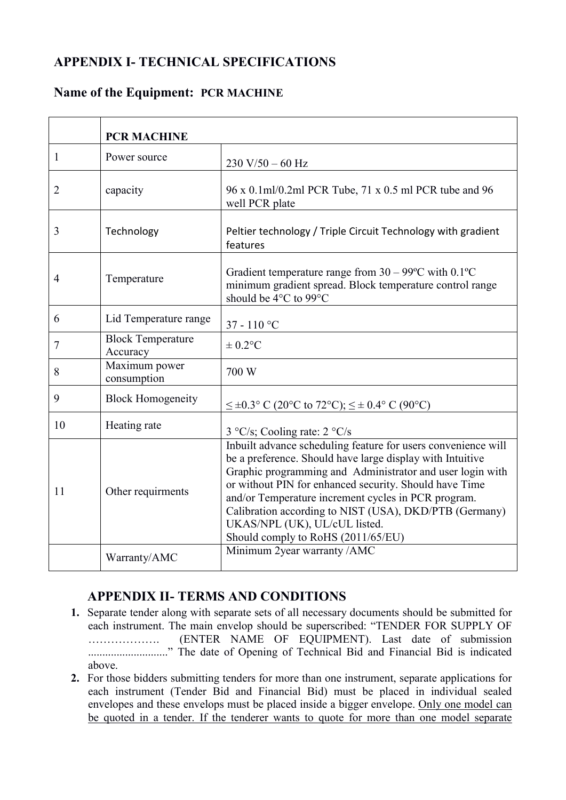### **APPENDIX I- TECHNICAL SPECIFICATIONS**

#### **Name of the Equipment: PCR MACHINE**

|                | <b>PCR MACHINE</b>                   |                                                                                                                                                                                                                                                                                                                                                                                                                                           |
|----------------|--------------------------------------|-------------------------------------------------------------------------------------------------------------------------------------------------------------------------------------------------------------------------------------------------------------------------------------------------------------------------------------------------------------------------------------------------------------------------------------------|
| $\mathbf{1}$   | Power source                         | $230 V/50 - 60 Hz$                                                                                                                                                                                                                                                                                                                                                                                                                        |
| $\overline{2}$ | capacity                             | 96 x 0.1ml/0.2ml PCR Tube, 71 x 0.5 ml PCR tube and 96<br>well PCR plate                                                                                                                                                                                                                                                                                                                                                                  |
| 3              | Technology                           | Peltier technology / Triple Circuit Technology with gradient<br>features                                                                                                                                                                                                                                                                                                                                                                  |
| $\overline{4}$ | Temperature                          | Gradient temperature range from $30 - 99^{\circ}$ C with $0.1^{\circ}$ C<br>minimum gradient spread. Block temperature control range<br>should be 4°C to 99°C                                                                                                                                                                                                                                                                             |
| 6              | Lid Temperature range                | 37 - 110 °C                                                                                                                                                                                                                                                                                                                                                                                                                               |
| $\tau$         | <b>Block Temperature</b><br>Accuracy | $\pm 0.2$ °C                                                                                                                                                                                                                                                                                                                                                                                                                              |
| 8              | Maximum power<br>consumption         | 700 W                                                                                                                                                                                                                                                                                                                                                                                                                                     |
| 9              | <b>Block Homogeneity</b>             | $\leq \pm 0.3$ ° C (20°C to 72°C); $\leq \pm$ 0.4° C (90°C)                                                                                                                                                                                                                                                                                                                                                                               |
| 10             | Heating rate                         | 3 °C/s; Cooling rate: 2 °C/s                                                                                                                                                                                                                                                                                                                                                                                                              |
| 11             | Other requirments                    | Inbuilt advance scheduling feature for users convenience will<br>be a preference. Should have large display with Intuitive<br>Graphic programming and Administrator and user login with<br>or without PIN for enhanced security. Should have Time<br>and/or Temperature increment cycles in PCR program.<br>Calibration according to NIST (USA), DKD/PTB (Germany)<br>UKAS/NPL (UK), UL/cUL listed.<br>Should comply to RoHS (2011/65/EU) |
|                | Warranty/AMC                         | Minimum 2year warranty / AMC                                                                                                                                                                                                                                                                                                                                                                                                              |

### **APPENDIX II- TERMS AND CONDITIONS**

- **1.** Separate tender along with separate sets of all necessary documents should be submitted for each instrument. The main envelop should be superscribed: "TENDER FOR SUPPLY OF ………………. (ENTER NAME OF EQUIPMENT). Last date of submission ............................" The date of Opening of Technical Bid and Financial Bid is indicated above.
- **2.** For those bidders submitting tenders for more than one instrument, separate applications for each instrument (Tender Bid and Financial Bid) must be placed in individual sealed envelopes and these envelops must be placed inside a bigger envelope. Only one model can be quoted in a tender. If the tenderer wants to quote for more than one model separate